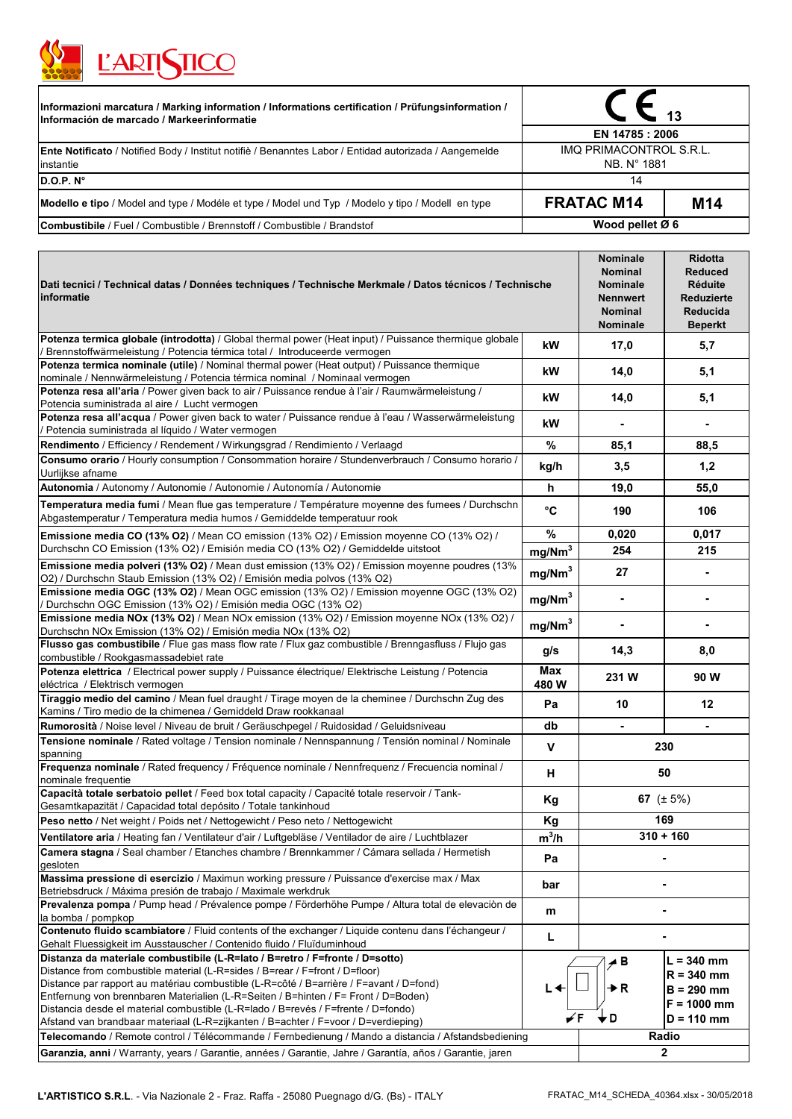

| <b>L'ARTINICO</b>                                                                                                                               |                                        |                 |  |
|-------------------------------------------------------------------------------------------------------------------------------------------------|----------------------------------------|-----------------|--|
| Informazioni marcatura / Marking information / Informations certification / Prüfungsinformation /<br>Información de marcado / Markeerinformatie |                                        |                 |  |
|                                                                                                                                                 | EN 14785 : 2006                        |                 |  |
| <b>Ente Notificato</b> / Notified Body / Institut notifie / Benanntes Labor / Entidad autorizada / Aangemelde<br>instantie                      | IMQ PRIMACONTROL S.R.L.<br>NB. N° 1881 |                 |  |
| D.O.P. N <sup>o</sup>                                                                                                                           | 14                                     |                 |  |
| Modello e tipo / Model and type / Modéle et type / Model und Typ / Modelo y tipo / Modell en type                                               | <b>FRATAC M14</b>                      | M <sub>14</sub> |  |
| <b>Combustibile</b> / Fuel / Combustible / Brennstoff / Combustible / Brandstof                                                                 | Wood pellet Ø 6                        |                 |  |

| Dati tecnici / Technical datas / Données techniques / Technische Merkmale / Datos técnicos / Technische<br>informatie                                                                                                                                                                                                                                                                                                                                                                                                                                                                                                         |                    | Nominale<br><b>Nominal</b><br>Nominale<br><b>Nennwert</b><br><b>Nominal</b><br>Nominale | <b>Ridotta</b><br><b>Reduced</b><br><b>Réduite</b><br><b>Reduzierte</b><br>Reducida<br><b>Beperkt</b> |
|-------------------------------------------------------------------------------------------------------------------------------------------------------------------------------------------------------------------------------------------------------------------------------------------------------------------------------------------------------------------------------------------------------------------------------------------------------------------------------------------------------------------------------------------------------------------------------------------------------------------------------|--------------------|-----------------------------------------------------------------------------------------|-------------------------------------------------------------------------------------------------------|
| Potenza termica globale (introdotta) / Global thermal power (Heat input) / Puissance thermique globale<br>Brennstoffwärmeleistung / Potencia térmica total / Introduceerde vermogen                                                                                                                                                                                                                                                                                                                                                                                                                                           | kW                 | 17,0                                                                                    | 5,7                                                                                                   |
| Potenza termica nominale (utile) / Nominal thermal power (Heat output) / Puissance thermique<br>nominale / Nennwärmeleistung / Potencia térmica nominal / Nominaal vermogen                                                                                                                                                                                                                                                                                                                                                                                                                                                   | kW                 | 14,0                                                                                    | 5,1                                                                                                   |
| Potenza resa all'aria / Power given back to air / Puissance rendue à l'air / Raumwärmeleistung /<br>Potencia suministrada al aire / Lucht vermogen                                                                                                                                                                                                                                                                                                                                                                                                                                                                            | kW                 | 14,0                                                                                    | 5,1                                                                                                   |
| Potenza resa all'acqua / Power given back to water / Puissance rendue à l'eau / Wasserwärmeleistung<br>/ Potencia suministrada al líquido / Water vermogen                                                                                                                                                                                                                                                                                                                                                                                                                                                                    | kW                 |                                                                                         |                                                                                                       |
| Rendimento / Efficiency / Rendement / Wirkungsgrad / Rendimiento / Verlaagd                                                                                                                                                                                                                                                                                                                                                                                                                                                                                                                                                   | %                  | 85,1                                                                                    | 88,5                                                                                                  |
| Consumo orario / Hourly consumption / Consommation horaire / Stundenverbrauch / Consumo horario /<br>Uurlijkse afname                                                                                                                                                                                                                                                                                                                                                                                                                                                                                                         | kg/h               | 3,5                                                                                     | 1,2                                                                                                   |
| Autonomia / Autonomy / Autonomie / Autonomie / Autonomía / Autonomie                                                                                                                                                                                                                                                                                                                                                                                                                                                                                                                                                          | h                  | 19,0                                                                                    | 55,0                                                                                                  |
| Temperatura media fumi / Mean flue gas temperature / Température moyenne des fumees / Durchschn<br>Abgastemperatur / Temperatura media humos / Gemiddelde temperatuur rook                                                                                                                                                                                                                                                                                                                                                                                                                                                    | °C                 | 190                                                                                     | 106                                                                                                   |
| Emissione media CO (13% O2) / Mean CO emission (13% O2) / Emission moyenne CO (13% O2) /                                                                                                                                                                                                                                                                                                                                                                                                                                                                                                                                      | %                  | 0,020                                                                                   | 0,017                                                                                                 |
| Durchschn CO Emission (13% O2) / Emisión media CO (13% O2) / Gemiddelde uitstoot                                                                                                                                                                                                                                                                                                                                                                                                                                                                                                                                              | mg/Nm <sup>3</sup> | 254                                                                                     | 215                                                                                                   |
| Emissione media polveri (13% O2) / Mean dust emission (13% O2) / Emission moyenne poudres (13%<br>O2) / Durchschn Staub Emission (13% O2) / Emisión media polvos (13% O2)                                                                                                                                                                                                                                                                                                                                                                                                                                                     | mg/Nm <sup>3</sup> | 27                                                                                      | $\blacksquare$                                                                                        |
| Emissione media OGC (13% O2) / Mean OGC emission (13% O2) / Emission moyenne OGC (13% O2)<br>Durchschn OGC Emission (13% O2) / Emisión media OGC (13% O2)                                                                                                                                                                                                                                                                                                                                                                                                                                                                     | mg/Nm <sup>3</sup> | $\blacksquare$                                                                          |                                                                                                       |
| Emissione media NOx (13% O2) / Mean NOx emission (13% O2) / Emission moyenne NOx (13% O2) /<br>Durchschn NOx Emission (13% O2) / Emisión media NOx (13% O2)                                                                                                                                                                                                                                                                                                                                                                                                                                                                   | mg/Nm <sup>3</sup> | ä,                                                                                      |                                                                                                       |
| Flusso gas combustibile / Flue gas mass flow rate / Flux gaz combustible / Brenngasfluss / Flujo gas<br>combustible / Rookgasmassadebiet rate                                                                                                                                                                                                                                                                                                                                                                                                                                                                                 | g/s                | 14,3                                                                                    | 8,0                                                                                                   |
| Potenza elettrica / Electrical power supply / Puissance électrique/ Elektrische Leistung / Potencia<br>eléctrica / Elektrisch vermogen                                                                                                                                                                                                                                                                                                                                                                                                                                                                                        | <b>Max</b><br>480W | 231 W                                                                                   | 90 W                                                                                                  |
| Tiraggio medio del camino / Mean fuel draught / Tirage moyen de la cheminee / Durchschn Zug des<br>Kamins / Tiro medio de la chimenea / Gemiddeld Draw rookkanaal                                                                                                                                                                                                                                                                                                                                                                                                                                                             | Pa                 | 10                                                                                      | $12 \,$                                                                                               |
| Rumorosità / Noise level / Niveau de bruit / Geräuschpegel / Ruidosidad / Geluidsniveau                                                                                                                                                                                                                                                                                                                                                                                                                                                                                                                                       | db                 |                                                                                         |                                                                                                       |
| Tensione nominale / Rated voltage / Tension nominale / Nennspannung / Tensión nominal / Nominale<br>spanning                                                                                                                                                                                                                                                                                                                                                                                                                                                                                                                  | v                  | 230                                                                                     |                                                                                                       |
| Frequenza nominale / Rated frequency / Fréquence nominale / Nennfrequenz / Frecuencia nominal /<br>nominale frequentie                                                                                                                                                                                                                                                                                                                                                                                                                                                                                                        | н                  | 50                                                                                      |                                                                                                       |
| Capacità totale serbatoio pellet / Feed box total capacity / Capacité totale reservoir / Tank-<br>Gesamtkapazität / Capacidad total depósito / Totale tankinhoud                                                                                                                                                                                                                                                                                                                                                                                                                                                              | Kg                 | 67 $(\pm 5\%)$                                                                          |                                                                                                       |
| Peso netto / Net weight / Poids net / Nettogewicht / Peso neto / Nettogewicht                                                                                                                                                                                                                                                                                                                                                                                                                                                                                                                                                 | Kg                 | 169                                                                                     |                                                                                                       |
| Ventilatore aria / Heating fan / Ventilateur d'air / Luftgebläse / Ventilador de aire / Luchtblazer                                                                                                                                                                                                                                                                                                                                                                                                                                                                                                                           | $m^3/h$            | $310 + 160$                                                                             |                                                                                                       |
| Camera stagna / Seal chamber / Etanches chambre / Brennkammer / Cámara sellada / Hermetish<br>gesloten                                                                                                                                                                                                                                                                                                                                                                                                                                                                                                                        | Pa                 |                                                                                         |                                                                                                       |
| Massima pressione di esercizio / Maximun working pressure / Puissance d'exercise max / Max<br>Betriebsdruck / Máxima presión de trabajo / Maximale werkdruk                                                                                                                                                                                                                                                                                                                                                                                                                                                                   | bar                |                                                                                         |                                                                                                       |
| Prevalenza pompa / Pump head / Prévalence pompe / Förderhöhe Pumpe / Altura total de elevación de<br>la bomba / pompkop                                                                                                                                                                                                                                                                                                                                                                                                                                                                                                       | m                  |                                                                                         |                                                                                                       |
| Contenuto fluido scambiatore / Fluid contents of the exchanger / Liquide contenu dans l'échangeur /<br>Gehalt Fluessigkeit im Ausstauscher / Contenido fluido / Fluïduminhoud                                                                                                                                                                                                                                                                                                                                                                                                                                                 | L                  |                                                                                         |                                                                                                       |
| Distanza da materiale combustibile (L-R=lato / B=retro / F=fronte / D=sotto)<br>Distance from combustible material (L-R=sides / B=rear / F=front / D=floor)<br>Distance par rapport au matériau combustible (L-R=côté / B=arrière / F=avant / D=fond)<br>Entfernung von brennbaren Materialien (L-R=Seiten / B=hinten / F= Front / D=Boden)<br>Distancia desde el material combustible (L-R=lado / B=revés / F=frente / D=fondo)<br>Afstand van brandbaar materiaal (L-R=zijkanten / B=achter / F=voor / D=verdieping)<br>Telecomando / Remote control / Télécommande / Fernbedienung / Mando a distancia / Afstandsbediening | ∟<<br>✔F           | ⊿ B<br>D R<br>, D<br>Radio                                                              | $L = 340$ mm<br>$R = 340$ mm<br>$B = 290$ mm<br>$F = 1000$ mm<br>$D = 110$ mm                         |
| Garanzia, anni / Warranty, years / Garantie, années / Garantie, Jahre / Garantía, años / Garantie, jaren                                                                                                                                                                                                                                                                                                                                                                                                                                                                                                                      |                    |                                                                                         | $\mathbf{2}$                                                                                          |

7